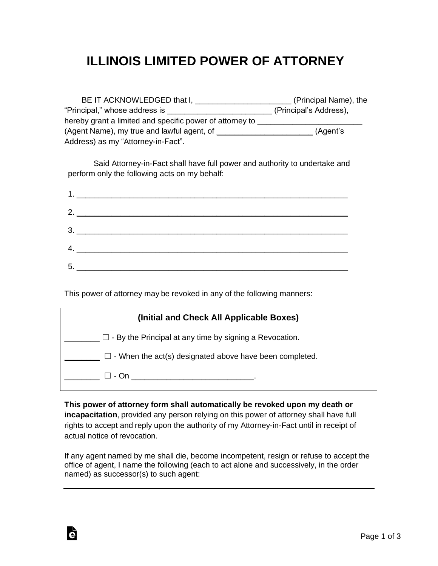## **ILLINOIS LIMITED POWER OF ATTORNEY**

| BE IT ACKNOWLEDGED that I,                                 | (Principal Name), the  |
|------------------------------------------------------------|------------------------|
| "Principal," whose address is                              | (Principal's Address), |
| hereby grant a limited and specific power of attorney to _ |                        |
| (Agent Name), my true and lawful agent, of ___             | (Agent's               |
| Address) as my "Attorney-in-Fact".                         |                        |

Said Attorney-in-Fact shall have full power and authority to undertake and perform only the following acts on my behalf:

|    | $2.$ $\overline{\phantom{a}}$       |
|----|-------------------------------------|
|    | $\begin{array}{c}\n3.\n\end{array}$ |
|    | 4.                                  |
| 5. |                                     |

This power of attorney may be revoked in any of the following manners:

| (Initial and Check All Applicable Boxes)                       |
|----------------------------------------------------------------|
| $\Box$ - By the Principal at any time by signing a Revocation. |
| $\Box$ - When the act(s) designated above have been completed. |
| ⊟ - On                                                         |

**This power of attorney form shall automatically be revoked upon my death or incapacitation**, provided any person relying on this power of attorney shall have full rights to accept and reply upon the authority of my Attorney-in-Fact until in receipt of actual notice of revocation.

If any agent named by me shall die, become incompetent, resign or refuse to accept the office of agent, I name the following (each to act alone and successively, in the order named) as successor(s) to such agent:

Ġ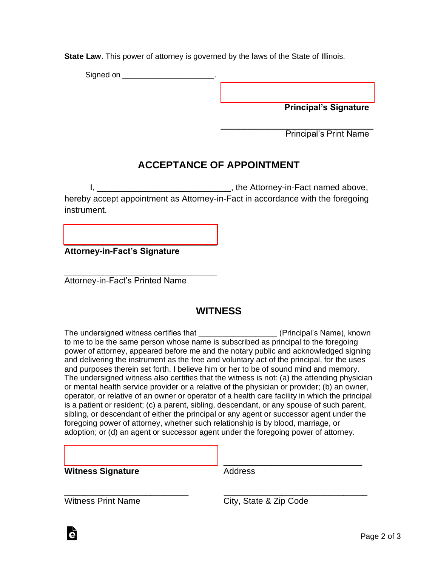**State Law**. This power of attorney is governed by the laws of the State of Illinois.

Signed on \_\_\_\_\_\_\_\_\_\_\_\_\_\_\_\_\_\_\_\_\_\_\_\_.

[\\_\\_\\_\\_\\_\\_\\_\\_\\_\\_\\_\\_\\_\\_\\_\\_\\_\\_\\_\\_\\_\\_\\_\\_\\_\\_\\_\\_\\_\\_\\_\\_](https://esign.com) **Principal's Signature**

\_\_\_\_\_\_\_\_\_\_\_\_\_\_\_\_\_\_\_\_\_\_\_\_\_\_\_\_\_\_\_\_ Principal's Print Name

## **ACCEPTANCE OF APPOINTMENT**

I, \_\_\_\_\_\_\_\_\_\_\_\_\_\_\_\_\_\_\_\_\_\_\_\_\_\_\_\_\_\_\_\_\_\_, the Attorney-in-Fact named above, hereby accept appointment as Attorney-in-Fact in accordance with the foregoing instrument.

**Attorney-in-Fact's Signature**

[\\_\\_\\_\\_\\_\\_\\_\\_\\_\\_\\_\\_\\_\\_\\_\\_\\_\\_\\_\\_\\_\\_\\_\\_\\_\\_\\_\\_\\_\\_\\_\\_](https://esign.com)

\_\_\_\_\_\_\_\_\_\_\_\_\_\_\_\_\_\_\_\_\_\_\_\_\_\_\_\_\_\_\_\_

Attorney-in-Fact's Printed Name

## **WITNESS**

The undersigned witness certifies that **Example 20** (Principal's Name), known to me to be the same person whose name is subscribed as principal to the foregoing power of attorney, appeared before me and the notary public and acknowledged signing and delivering the instrument as the free and voluntary act of the principal, for the uses and purposes therein set forth. I believe him or her to be of sound mind and memory. The undersigned witness also certifies that the witness is not: (a) the attending physician or mental health service provider or a relative of the physician or provider; (b) an owner, operator, or relative of an owner or operator of a health care facility in which the principal is a patient or resident; (c) a parent, sibling, descendant, or any spouse of such parent, sibling, or descendant of either the principal or any agent or successor agent under the foregoing power of attorney, whether such relationship is by blood, marriage, or adoption; or (d) an agent or successor agent under the foregoing power of attorney.

[\\_\\_\\_\\_\\_\\_\\_\\_\\_\\_\\_\\_\\_\\_\\_\\_\\_\\_\\_\\_\\_\\_\\_\\_\\_\\_\\_\\_\\_\\_\\_\\_](https://esign.com) \_\_\_\_\_\_\_\_\_\_\_\_\_\_\_\_\_\_\_\_\_\_\_\_\_\_\_\_\_

**Witness Signature Address** 

\_\_\_\_\_\_\_\_\_\_\_\_\_\_\_\_\_\_\_\_\_\_\_\_\_\_ \_\_\_\_\_\_\_\_\_\_\_\_\_\_\_\_\_\_\_\_\_\_\_\_\_\_\_\_\_\_ Witness Print Name City, State & Zip Code